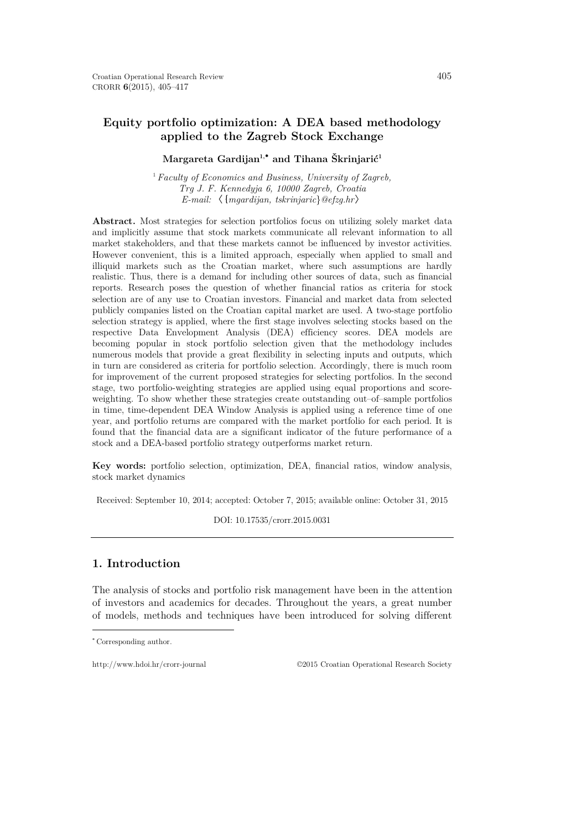# **Equity portfolio optimization: A DEA based methodology applied to the Zagreb Stock Exchange**

## **Margareta Gardijan1,**[∗](#page-0-0) **and Tihana Škrinjarić1**

<sup>1</sup>*Faculty of Economics and Business, University of Zagreb, Trg J. F. Kennedyja 6, 10000 Zagreb, Croatia E-mail:* 〈{*mgardijan, tskrinjaric*}*@efzg.hr*〉

**Abstract.** Most strategies for selection portfolios focus on utilizing solely market data and implicitly assume that stock markets communicate all relevant information to all market stakeholders, and that these markets cannot be influenced by investor activities. However convenient, this is a limited approach, especially when applied to small and illiquid markets such as the Croatian market, where such assumptions are hardly realistic. Thus, there is a demand for including other sources of data, such as financial reports. Research poses the question of whether financial ratios as criteria for stock selection are of any use to Croatian investors. Financial and market data from selected publicly companies listed on the Croatian capital market are used. A two-stage portfolio selection strategy is applied, where the first stage involves selecting stocks based on the respective Data Envelopment Analysis (DEA) efficiency scores. DEA models are becoming popular in stock portfolio selection given that the methodology includes numerous models that provide a great flexibility in selecting inputs and outputs, which in turn are considered as criteria for portfolio selection. Accordingly, there is much room for improvement of the current proposed strategies for selecting portfolios. In the second stage, two portfolio-weighting strategies are applied using equal proportions and scoreweighting. To show whether these strategies create outstanding out–of–sample portfolios in time, time-dependent DEA Window Analysis is applied using a reference time of one year, and portfolio returns are compared with the market portfolio for each period. It is found that the financial data are a significant indicator of the future performance of a stock and a DEA-based portfolio strategy outperforms market return.

**Key words:** portfolio selection, optimization, DEA, financial ratios, window analysis, stock market dynamics

Received: September 10, 2014; accepted: October 7, 2015; available online: October 31, 2015

DOI: 10.17535/crorr.2015.0031

### **1. Introduction**

The analysis of stocks and portfolio risk management have been in the attention of investors and academics for decades. Throughout the years, a great number of models, methods and techniques have been introduced for solving different

 $\overline{a}$ 

http://www.hdoi.hr/crorr-journal ©2015 Croatian Operational Research Society

<span id="page-0-0"></span><sup>∗</sup> Corresponding author.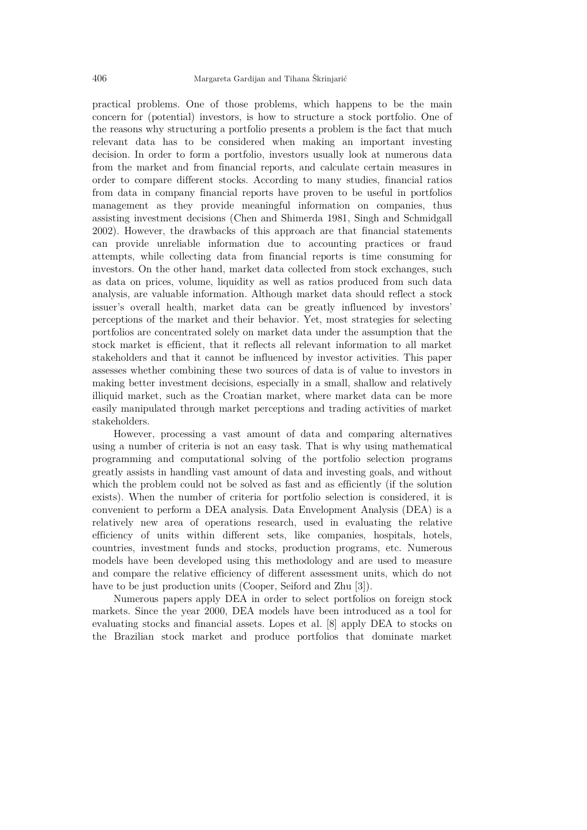practical problems. One of those problems, which happens to be the main concern for (potential) investors, is how to structure a stock portfolio. One of the reasons why structuring a portfolio presents a problem is the fact that much relevant data has to be considered when making an important investing decision. In order to form a portfolio, investors usually look at numerous data from the market and from financial reports, and calculate certain measures in order to compare different stocks. According to many studies, financial ratios from data in company financial reports have proven to be useful in portfolios management as they provide meaningful information on companies, thus assisting investment decisions (Chen and Shimerda 1981, Singh and Schmidgall 2002). However, the drawbacks of this approach are that financial statements can provide unreliable information due to accounting practices or fraud attempts, while collecting data from financial reports is time consuming for investors. On the other hand, market data collected from stock exchanges, such as data on prices, volume, liquidity as well as ratios produced from such data analysis, are valuable information. Although market data should reflect a stock issuer's overall health, market data can be greatly influenced by investors' perceptions of the market and their behavior. Yet, most strategies for selecting portfolios are concentrated solely on market data under the assumption that the stock market is efficient, that it reflects all relevant information to all market stakeholders and that it cannot be influenced by investor activities. This paper assesses whether combining these two sources of data is of value to investors in making better investment decisions, especially in a small, shallow and relatively illiquid market, such as the Croatian market, where market data can be more easily manipulated through market perceptions and trading activities of market stakeholders.

However, processing a vast amount of data and comparing alternatives using a number of criteria is not an easy task. That is why using mathematical programming and computational solving of the portfolio selection programs greatly assists in handling vast amount of data and investing goals, and without which the problem could not be solved as fast and as efficiently (if the solution exists). When the number of criteria for portfolio selection is considered, it is convenient to perform a DEA analysis. Data Envelopment Analysis (DEA) is a relatively new area of operations research, used in evaluating the relative efficiency of units within different sets, like companies, hospitals, hotels, countries, investment funds and stocks, production programs, etc. Numerous models have been developed using this methodology and are used to measure and compare the relative efficiency of different assessment units, which do not have to be just production units (Cooper, Seiford and Zhu [3]).

Numerous papers apply DEA in order to select portfolios on foreign stock markets. Since the year 2000, DEA models have been introduced as a tool for evaluating stocks and financial assets. Lopes et al. [8] apply DEA to stocks on the Brazilian stock market and produce portfolios that dominate market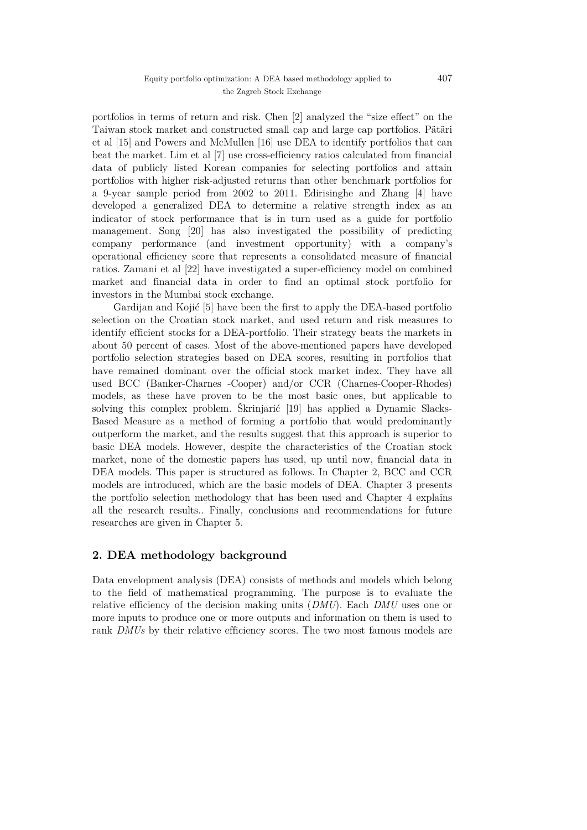#### Equity portfolio optimization: A DEA based methodology applied to 407 the Zagreb Stock Exchange

portfolios in terms of return and risk. Chen [2] analyzed the "size effect" on the Taiwan stock market and constructed small cap and large cap portfolios. Pätäri et al [15] and Powers and McMullen [16] use DEA to identify portfolios that can beat the market. Lim et al [7] use cross-efficiency ratios calculated from financial data of publicly listed Korean companies for selecting portfolios and attain portfolios with higher risk-adjusted returns than other benchmark portfolios for a 9-year sample period from 2002 to 2011. Edirisinghe and Zhang [4] have developed a generalized DEA to determine a relative strength index as an indicator of stock performance that is in turn used as a guide for portfolio management. Song [20] has also investigated the possibility of predicting company performance (and investment opportunity) with a company's operational efficiency score that represents a consolidated measure of financial ratios. Zamani et al [22] have investigated a super-efficiency model on combined market and financial data in order to find an optimal stock portfolio for investors in the Mumbai stock exchange.

Gardijan and Kojić [5] have been the first to apply the DEA-based portfolio selection on the Croatian stock market, and used return and risk measures to identify efficient stocks for a DEA-portfolio. Their strategy beats the markets in about 50 percent of cases. Most of the above-mentioned papers have developed portfolio selection strategies based on DEA scores, resulting in portfolios that have remained dominant over the official stock market index. They have all used BCC (Banker-Charnes -Cooper) and/or CCR (Charnes-Cooper-Rhodes) models, as these have proven to be the most basic ones, but applicable to solving this complex problem. Škrinjarić [19] has applied a Dynamic Slacks-Based Measure as a method of forming a portfolio that would predominantly outperform the market, and the results suggest that this approach is superior to basic DEA models. However, despite the characteristics of the Croatian stock market, none of the domestic papers has used, up until now, financial data in DEA models. This paper is structured as follows. In Chapter 2, BCC and CCR models are introduced, which are the basic models of DEA. Chapter 3 presents the portfolio selection methodology that has been used and Chapter 4 explains all the research results.. Finally, conclusions and recommendations for future researches are given in Chapter 5.

### **2. DEA methodology background**

Data envelopment analysis (DEA) consists of methods and models which belong to the field of mathematical programming. The purpose is to evaluate the relative efficiency of the decision making units (*DMU*). Each *DMU* uses one or more inputs to produce one or more outputs and information on them is used to rank *DMUs* by their relative efficiency scores. The two most famous models are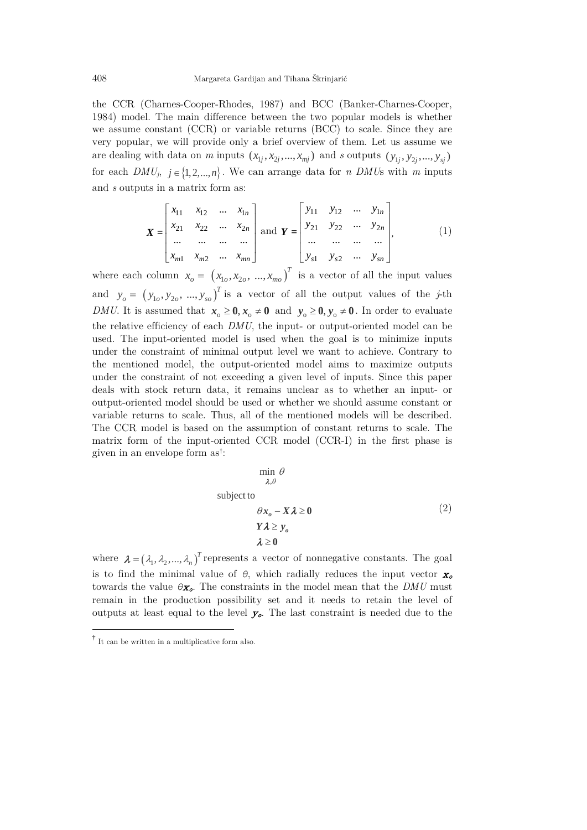the CCR (Charnes-Cooper-Rhodes, 1987) and BCC (Banker-Charnes-Cooper, 1984) model. The main difference between the two popular models is whether we assume constant (CCR) or variable returns (BCC) to scale. Since they are very popular, we will provide only a brief overview of them. Let us assume we are dealing with data on *m* inputs  $(x_{1i}, x_{2i}, ..., x_{mi})$  and *s* outputs  $(y_{1i}, y_{2i}, ..., y_{si})$ for each  $DMU_j$ ,  $j \in \{1, 2, ..., n\}$ . We can arrange data for *n DMUs* with *m* inputs and *s* outputs in a matrix form as:

$$
\boldsymbol{X} = \begin{bmatrix} x_{11} & x_{12} & \dots & x_{1n} \\ x_{21} & x_{22} & \dots & x_{2n} \\ \dots & \dots & \dots & \dots \\ x_{m1} & x_{m2} & \dots & x_{mn} \end{bmatrix} \text{ and } \boldsymbol{Y} = \begin{bmatrix} y_{11} & y_{12} & \dots & y_{1n} \\ y_{21} & y_{22} & \dots & y_{2n} \\ \dots & \dots & \dots & \dots \\ y_{s1} & y_{s2} & \dots & y_{sn} \end{bmatrix},
$$
(1)

where each column  $x_o = (x_{1o}, x_{2o}, ..., x_{mo})^T$  is a vector of all the input values and  $y_o = (y_{1o}, y_{2o}, ..., y_{so})^T$  is a vector of all the output values of the *j*-th *DMU*. It is assumed that  $x_0 \ge 0$ ,  $x_0 \ne 0$  and  $y_0 \ge 0$ ,  $y_0 \ne 0$ . In order to evaluate the relative efficiency of each *DMU*, the input- or output-oriented model can be used. The input-oriented model is used when the goal is to minimize inputs under the constraint of minimal output level we want to achieve. Contrary to the mentioned model, the output-oriented model aims to maximize outputs under the constraint of not exceeding a given level of inputs. Since this paper deals with stock return data, it remains unclear as to whether an input- or output-oriented model should be used or whether we should assume constant or variable returns to scale. Thus, all of the mentioned models will be described. The CCR model is based on the assumption of constant returns to scale. The matrix form of the input-oriented CCR model (CCR-I) in the first phase is given in an envelope form as[†](#page-3-0) :

$$
\min \theta
$$
\n
$$
\lambda, \theta
$$
\nsubject to\n
$$
\theta x_o - X\lambda \ge 0
$$
\n
$$
Y\lambda \ge y_o
$$
\n
$$
\lambda \ge 0
$$
\n(2)

where  $\lambda = (\lambda_1, \lambda_2, ..., \lambda_n)^T$  represents a vector of nonnegative constants. The goal is to find the minimal value of  $\theta$ , which radially reduces the input vector  $\mathbf{x}_o$ towards the value  $\theta x_o$ . The constraints in the model mean that the *DMU* must remain in the production possibility set and it needs to retain the level of outputs at least equal to the level  $y<sub>o</sub>$ . The last constraint is needed due to the

<span id="page-3-0"></span><sup>†</sup> It can be written in a multiplicative form also.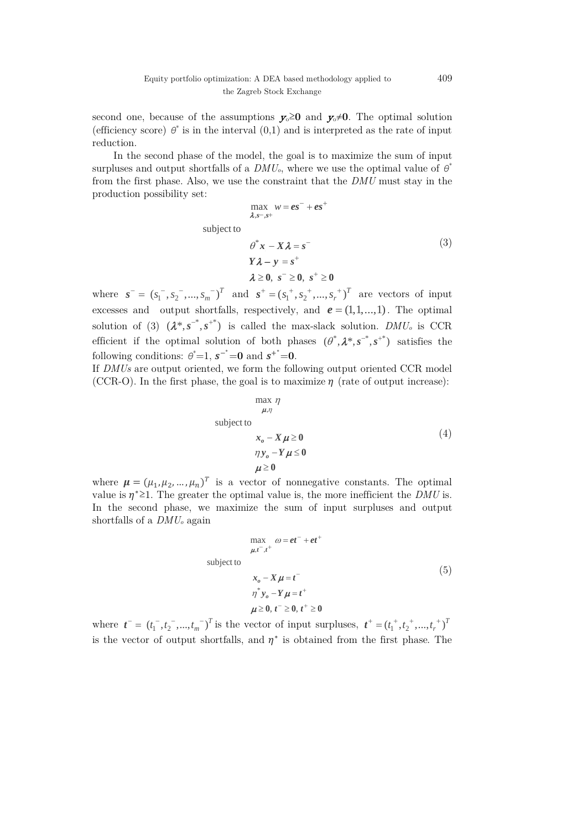second one, because of the assumptions  $y_0 \ge 0$  and  $y_0 \ne 0$ . The optimal solution (efficiency score)  $\theta^*$  is in the interval  $(0,1)$  and is interpreted as the rate of input reduction.

In the second phase of the model, the goal is to maximize the sum of input surpluses and output shortfalls of a  $DMU<sub>o</sub>$ , where we use the optimal value of  $\theta^*$ from the first phase. Also, we use the constraint that the *DMU* must stay in the production possibility set:

> $\max_{\lambda, s-, s+} w = es^{-} + es^{+}$  $\theta^* x - X \lambda = s^$ subject to  $\lambda \geq 0, s^- \geq 0, s^+ \geq 0$  $\max_{\lambda,s^-,s^+} w = es^- + es$  $Y\lambda - y = s^+$ (3)

where  $s^- = (s_1^-, s_2^-, ..., s_m^-)^T$  and  $s^+ = (s_1^+, s_2^+, ..., s_r^+)^T$  are vectors of input excesses and output shortfalls, respectively, and  $e = (1,1,...,1)$ . The optimal solution of (3)  $(\lambda^*, s^{-*}, s^{+*})$  is called the max-slack solution. *DMU<sub>o</sub>* is CCR efficient if the optimal solution of both phases  $(\theta^*, \lambda^*, s^{-*}, s^{+*})$  satisfies the following conditions:  $\theta^* = 1$ ,  $\mathbf{s}^{-*} = \mathbf{0}$  and  $\mathbf{s}^{+*} = \mathbf{0}$ .

If *DMUs* are output oriented, we form the following output oriented CCR model (CCR-O). In the first phase, the goal is to maximize  $\eta$  (rate of output increase):

$$
\max \eta
$$
\n
$$
\mu, \eta
$$
\nsubject to\n
$$
x_o - X\mu \ge 0
$$
\n
$$
\eta y_o - Y\mu \le 0
$$
\n
$$
\mu \ge 0
$$
\n(4)

where  $\mu = (\mu_1, \mu_2, ..., \mu_n)^T$  is a vector of nonnegative constants. The optimal value is  $\eta^*$  ≥1. The greater the optimal value is, the more inefficient the *DMU* is. In the second phase, we maximize the sum of input surpluses and output shortfalls of a *DMUo* again

$$
\max_{\mu, t^-, t^+} \omega = et^- + et^+
$$
  
subject to  

$$
x_o - X\mu = t^-
$$

$$
\eta^* y_o - Y\mu = t^+
$$

$$
\mu \ge 0, t^- \ge 0, t^+ \ge 0
$$

$$
(5)
$$

where  $\mathbf{t}^- = (t_1^-, t_2^-, ..., t_m^-)^T$  is the vector of input surpluses,  $\mathbf{t}^+ = (t_1^+, t_2^+, ..., t_r^+)^T$ is the vector of output shortfalls, and  $\eta^*$  is obtained from the first phase. The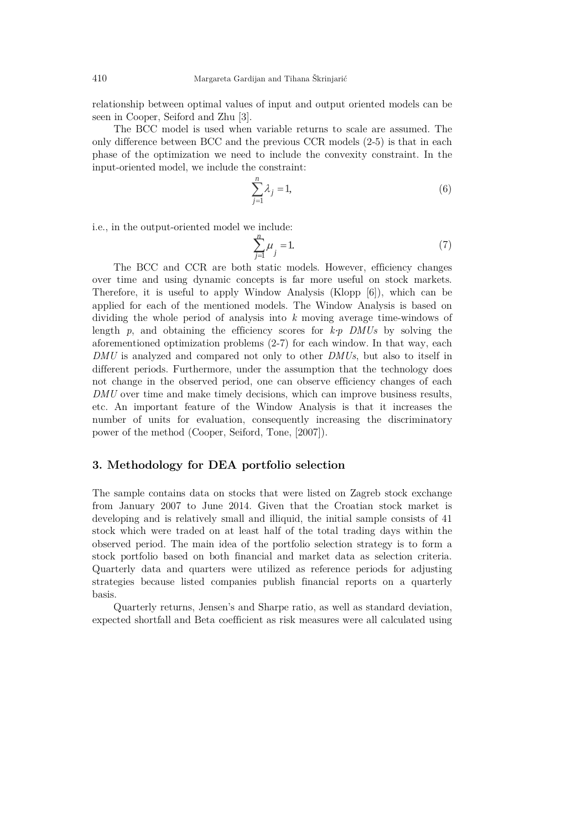relationship between optimal values of input and output oriented models can be seen in Cooper, Seiford and Zhu [3].

The BCC model is used when variable returns to scale are assumed. The only difference between BCC and the previous CCR models (2-5) is that in each phase of the optimization we need to include the convexity constraint. In the input-oriented model, we include the constraint:

$$
\sum_{j=1}^{n} \lambda_j = 1,\tag{6}
$$

i.e., in the output-oriented model we include:

$$
\sum_{j=1}^{n} \mu_j = 1. \tag{7}
$$

The BCC and CCR are both static models. However, efficiency changes over time and using dynamic concepts is far more useful on stock markets. Therefore, it is useful to apply Window Analysis (Klopp [6]), which can be applied for each of the mentioned models. The Window Analysis is based on dividing the whole period of analysis into *k* moving average time-windows of length  $p$ , and obtaining the efficiency scores for  $k \cdot p$  *DMUs* by solving the aforementioned optimization problems (2-7) for each window. In that way, each *DMU* is analyzed and compared not only to other *DMUs*, but also to itself in different periods. Furthermore, under the assumption that the technology does not change in the observed period, one can observe efficiency changes of each *DMU* over time and make timely decisions, which can improve business results, etc. An important feature of the Window Analysis is that it increases the number of units for evaluation, consequently increasing the discriminatory power of the method (Cooper, Seiford, Tone, [2007]).

#### **3. Methodology for DEA portfolio selection**

The sample contains data on stocks that were listed on Zagreb stock exchange from January 2007 to June 2014. Given that the Croatian stock market is developing and is relatively small and illiquid, the initial sample consists of 41 stock which were traded on at least half of the total trading days within the observed period. The main idea of the portfolio selection strategy is to form a stock portfolio based on both financial and market data as selection criteria. Quarterly data and quarters were utilized as reference periods for adjusting strategies because listed companies publish financial reports on a quarterly basis.

Quarterly returns, Jensen's and Sharpe ratio, as well as standard deviation, expected shortfall and Beta coefficient as risk measures were all calculated using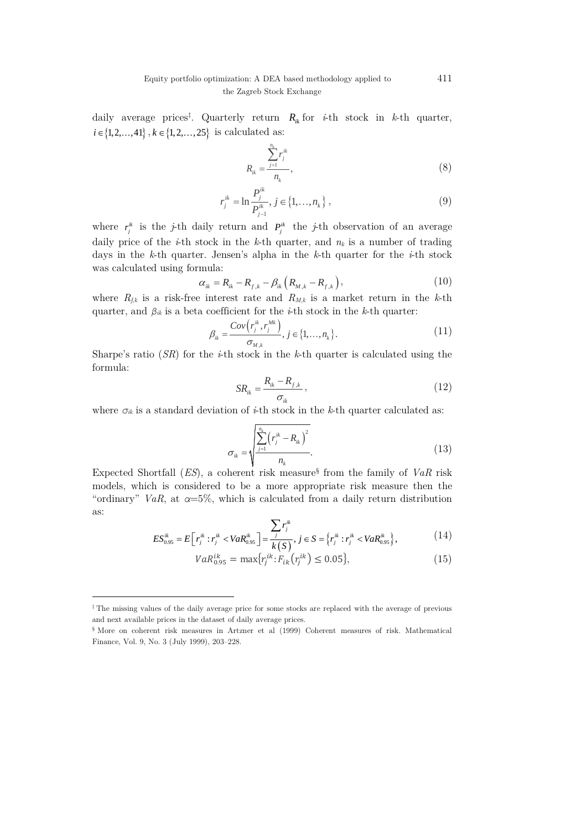daily average prices<sup>†</sup>. Quarterly return  $R_{ik}$  for *i*-th stock in *k*-th quarter, *i*∈{1,2,...,41}, *k*∈{1,2,...,25} is calculated as:

$$
R_{ik} = \frac{\sum_{j=1}^{n_k} r_j^{ik}}{n_k},
$$
\n(8)

$$
r_j^{ik} = \ln \frac{P_j^{ik}}{P_{j-1}^{ik}}, j \in \{1, ..., n_k\},
$$
\n(9)

where  $r_j^k$  is the *j*-th daily return and  $P_j^k$  the *j*-th observation of an average daily price of the *i*-th stock in the *k*-th quarter, and  $n_k$  is a number of trading days in the *k*-th quarter. Jensen's alpha in the *k*-th quarter for the *i*-th stock was calculated using formula:

$$
\alpha_{ik} = R_{ik} - R_{f,k} - \beta_{ik} (R_{M,k} - R_{f,k}), \qquad (10)
$$

where  $R_{f,k}$  is a risk-free interest rate and  $R_{M,k}$  is a market return in the *k*-th quarter, and  $\beta_{ik}$  is a beta coefficient for the *i*-th stock in the *k*-th quarter:

$$
\beta_{ik} = \frac{Cov(r_j^{ik}, r_j^{Mk})}{\sigma_{M,k}}, j \in \{1, ..., n_k\}.
$$
\n(11)

Sharpe's ratio (*SR*) for the *i*-th stock in the *k*-th quarter is calculated using the formula:

$$
SR_{ik} = \frac{R_{ik} - R_{f,k}}{\sigma_{ik}},\qquad(12)
$$

where  $\sigma_{ik}$  is a standard deviation of *i*-th stock in the *k*-th quarter calculated as:

$$
\sigma_{ik} = \sqrt{\frac{\sum_{j=1}^{n_k} (r_j^{ik} - R_{ik})^2}{n_k}}.
$$
\n(13)

Expected Shortfall (*ES*), a coherent risk measure[§](#page-6-1) from the family of *VaR* risk models, which is considered to be a more appropriate risk measure then the "ordinary" *VaR*, at  $\alpha = 5\%$ , which is calculated from a daily return distribution as:

$$
ES_{0.95}^{ik} = E\Big[r_j^{ik} : r_j^{ik} < VaR_{0.95}^{ik}\Big] = \frac{\sum_j r_j^{ik}}{k(S)}, \, j \in S = \Big\{r_j^{ik} : r_j^{ik} < VaR_{0.95}^{ik}\Big\},\tag{14}
$$

$$
VaR_{0.95}^{ik} = \max\{r_j^{ik} : F_{ik}(r_j^{ik}) \le 0.05\},\tag{15}
$$

 $\overline{a}$ 

<span id="page-6-0"></span><sup>‡</sup> The missing values of the daily average price for some stocks are replaced with the average of previous and next available prices in the dataset of daily average prices.

<span id="page-6-1"></span><sup>§</sup> More on coherent risk measures in Artzner et al (1999) Coherent measures of risk. Mathematical Finance, Vol. 9, No. 3 (July 1999), 203–228.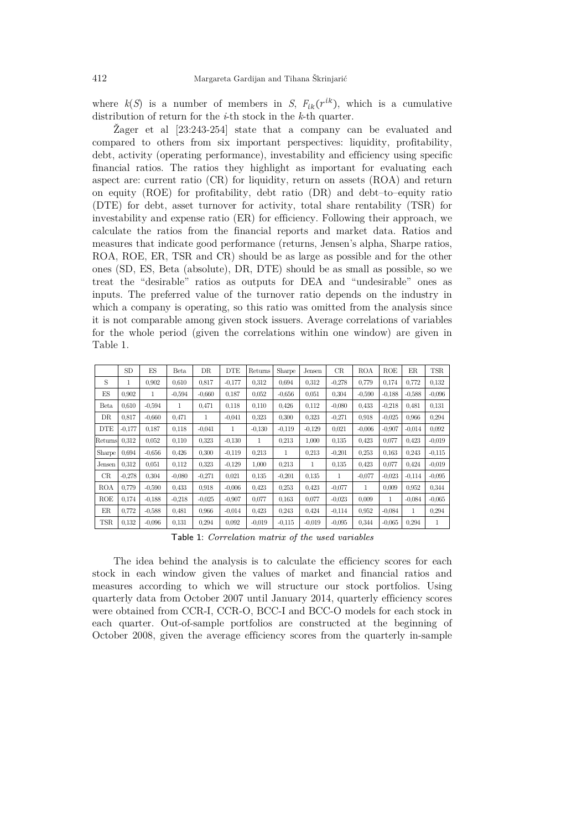where  $k(S)$  is a number of members in *S*,  $F_{ik}(r^{ik})$ , which is a cumulative distribution of return for the *i*-th stock in the *k*-th quarter.

Žager et al [23:243-254] state that a company can be evaluated and compared to others from six important perspectives: liquidity, profitability, debt, activity (operating performance), investability and efficiency using specific financial ratios. The ratios they highlight as important for evaluating each aspect are: current ratio (CR) for liquidity, return on assets (ROA) and return on equity (ROE) for profitability, debt ratio (DR) and debt–to–equity ratio (DTE) for debt, asset turnover for activity, total share rentability (TSR) for investability and expense ratio (ER) for efficiency. Following their approach, we calculate the ratios from the financial reports and market data. Ratios and measures that indicate good performance (returns, Jensen's alpha, Sharpe ratios, ROA, ROE, ER, TSR and CR) should be as large as possible and for the other ones (SD, ES, Beta (absolute), DR, DTE) should be as small as possible, so we treat the "desirable" ratios as outputs for DEA and "undesirable" ones as inputs. The preferred value of the turnover ratio depends on the industry in which a company is operating, so this ratio was omitted from the analysis since it is not comparable among given stock issuers. Average correlations of variables for the whole period (given the correlations within one window) are given in Table 1.

|            | <b>SD</b> | ES       | <b>Beta</b> | DR.      | <b>DTE</b> | Returns  | Sharpe   | Jensen   | $_{\rm CR}$ | ROA      | ROE      | ER.      | <b>TSR</b> |
|------------|-----------|----------|-------------|----------|------------|----------|----------|----------|-------------|----------|----------|----------|------------|
| S          | 1         | 0.902    | 0.610       | 0.817    | $-0.177$   | 0.312    | 0.694    | 0.312    | $-0.278$    | 0,779    | 0.174    | 0,772    | 0.132      |
| ES         | 0,902     | 1        | $-0.594$    | $-0.660$ | 0.187      | 0.052    | $-0.656$ | 0.051    | 0.304       | $-0.590$ | $-0.188$ | $-0.588$ | $-0.096$   |
| Beta       | 0.610     | $-0.594$ | 1           | 0.471    | 0.118      | 0.110    | 0.426    | 0.112    | $-0.080$    | 0.433    | $-0.218$ | 0,481    | 0.131      |
| <b>DR</b>  | 0.817     | $-0.660$ | 0.471       | 1        | $-0.041$   | 0.323    | 0.300    | 0.323    | $-0.271$    | 0.918    | $-0.025$ | 0.966    | 0.294      |
| <b>DTE</b> | $-0.177$  | 0.187    | 0.118       | $-0.041$ | 1          | $-0.130$ | $-0.119$ | $-0.129$ | 0.021       | $-0.006$ | $-0.907$ | $-0.014$ | 0.092      |
| Returns    | 0,312     | 0.052    | 0.110       | 0.323    | $-0.130$   | 1        | 0.213    | 1,000    | 0.135       | 0.423    | 0.077    | 0.423    | $-0.019$   |
| Sharpe     | 0.694     | $-0.656$ | 0.426       | 0.300    | $-0.119$   | 0.213    | 1        | 0.213    | $-0.201$    | 0.253    | 0.163    | 0.243    | $-0.115$   |
| Jensen     | 0,312     | 0.051    | 0.112       | 0.323    | $-0.129$   | 1,000    | 0.213    | 1        | 0.135       | 0.423    | 0.077    | 0.424    | $-0.019$   |
| CR         | $-0.278$  | 0.304    | $-0.080$    | $-0.271$ | 0.021      | 0.135    | $-0.201$ | 0.135    | 1           | $-0.077$ | $-0.023$ | $-0.114$ | $-0.095$   |
| <b>ROA</b> | 0,779     | $-0.590$ | 0.433       | 0.918    | $-0.006$   | 0.423    | 0.253    | 0.423    | $-0.077$    | 1        | 0.009    | 0.952    | 0.344      |
| ROE        | 0,174     | $-0.188$ | $-0.218$    | $-0.025$ | $-0.907$   | 0.077    | 0.163    | 0.077    | $-0.023$    | 0.009    | 1        | $-0.084$ | $-0.065$   |
| ER.        | 0,772     | $-0.588$ | 0.481       | 0.966    | $-0.014$   | 0.423    | 0.243    | 0.424    | $-0.114$    | 0.952    | $-0.084$ | 1        | 0.294      |
| TSR        | 0.132     | $-0.096$ | 0.131       | 0.294    | 0.092      | $-0.019$ | $-0.115$ | $-0.019$ | $-0.095$    | 0.344    | $-0.065$ | 0.294    | 1          |

Table 1: Correlation matrix of the used variables

The idea behind the analysis is to calculate the efficiency scores for each stock in each window given the values of market and financial ratios and measures according to which we will structure our stock portfolios. Using quarterly data from October 2007 until January 2014, quarterly efficiency scores were obtained from CCR-I, CCR-O, BCC-I and BCC-O models for each stock in each quarter. Out-of-sample portfolios are constructed at the beginning of October 2008, given the average efficiency scores from the quarterly in-sample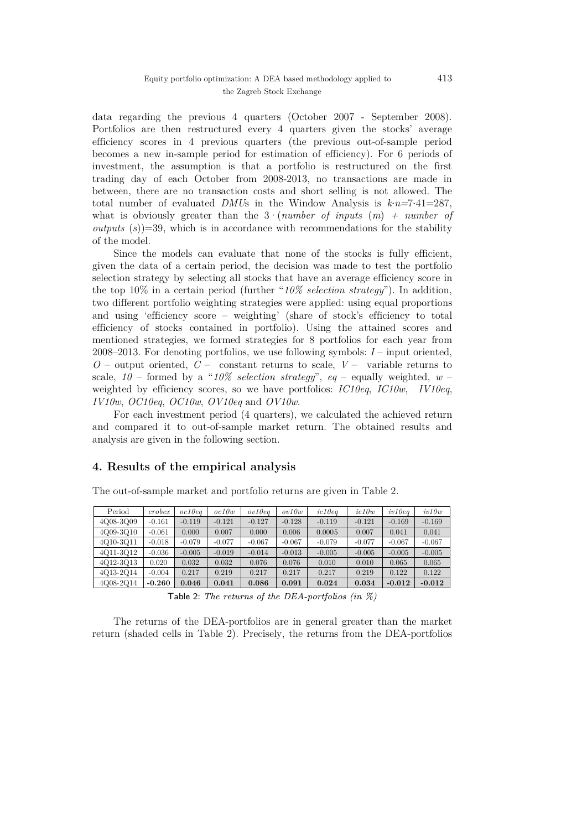data regarding the previous 4 quarters (October 2007 - September 2008). Portfolios are then restructured every 4 quarters given the stocks' average efficiency scores in 4 previous quarters (the previous out-of-sample period becomes a new in-sample period for estimation of efficiency). For 6 periods of investment, the assumption is that a portfolio is restructured on the first trading day of each October from 2008-2013, no transactions are made in between, there are no transaction costs and short selling is not allowed. The total number of evaluated *DMU*s in the Window Analysis is *k*⋅*n=*7⋅41=287, what is obviously greater than the  $3 \cdot (number \ of \ inputs \ (m) + number \ of \ )$ *outputs*  $(s)$ =39, which is in accordance with recommendations for the stability of the model.

Since the models can evaluate that none of the stocks is fully efficient, given the data of a certain period, the decision was made to test the portfolio selection strategy by selecting all stocks that have an average efficiency score in the top 10% in a certain period (further "*10% selection strategy*"). In addition, two different portfolio weighting strategies were applied: using equal proportions and using 'efficiency score – weighting' (share of stock's efficiency to total efficiency of stocks contained in portfolio). Using the attained scores and mentioned strategies, we formed strategies for 8 portfolios for each year from 2008–2013. For denoting portfolios, we use following symbols: *I* – input oriented, *O* – output oriented, *C* – constant returns to scale, *V* – variable returns to scale,  $10$  – formed by a " $10\%$  selection strategy", eq – equally weighted, w – weighted by efficiency scores, so we have portfolios: *IC10eq*, *IC10w*, *IV10eq*, *IV10w*, *OC10eq*, *OC10w*, *OV10eq* and *OV10w*.

For each investment period (4 quarters), we calculated the achieved return and compared it to out-of-sample market return. The obtained results and analysis are given in the following section.

### **4. Results of the empirical analysis**

The out-of-sample market and portfolio returns are given in Table 2.

| Period    | crobex   | oc10eq   | oc10w    | ov10eq   | ov10w    | ic10eq   | ic10w    | iv10eq   | iv10w    |
|-----------|----------|----------|----------|----------|----------|----------|----------|----------|----------|
| 4Q08-3Q09 | $-0.161$ | $-0.119$ | $-0.121$ | $-0.127$ | $-0.128$ | $-0.119$ | $-0.121$ | $-0.169$ | $-0.169$ |
| 4Q09-3Q10 | $-0.061$ | 0.000    | 0.007    | 0.000    | 0.006    | 0.0005   | 0.007    | 0.041    | 0.041    |
| 4Q10-3Q11 | $-0.018$ | $-0.079$ | $-0.077$ | $-0.067$ | $-0.067$ | $-0.079$ | $-0.077$ | $-0.067$ | $-0.067$ |
| 4Q11-3Q12 | $-0.036$ | $-0.005$ | $-0.019$ | $-0.014$ | $-0.013$ | $-0.005$ | $-0.005$ | $-0.005$ | $-0.005$ |
| 4Q12-3Q13 | 0.020    | 0.032    | 0.032    | 0.076    | 0.076    | 0.010    | 0.010    | 0.065    | 0.065    |
| 4Q13-2Q14 | $-0.004$ | 0.217    | 0.219    | 0.217    | 0.217    | 0.217    | 0.219    | 0.122    | 0.122    |
| 4Q08-2Q14 | $-0.260$ | 0.046    | 0.041    | 0.086    | 0.091    | 0.024    | 0.034    | $-0.012$ | $-0.012$ |

Table 2: The returns of the DEA-portfolios (in  $\%$ )

The returns of the DEA-portfolios are in general greater than the market return (shaded cells in Table 2). Precisely, the returns from the DEA-portfolios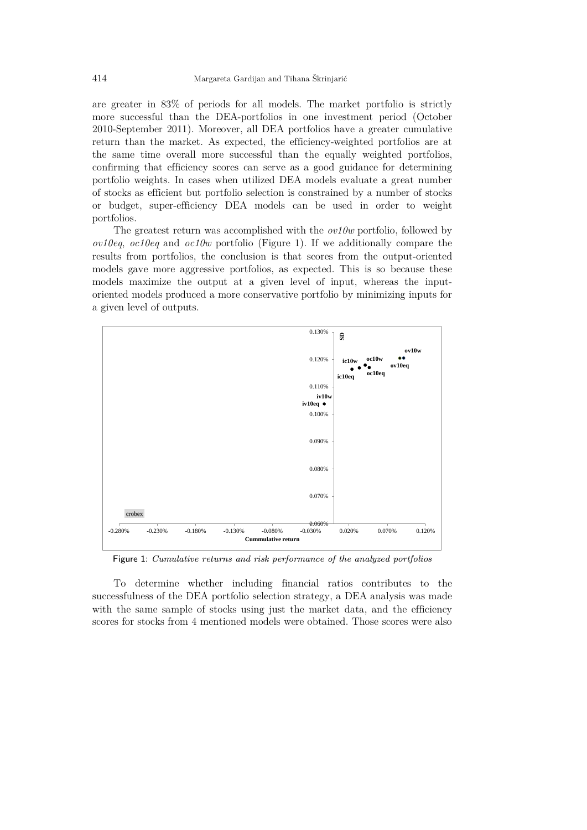are greater in 83% of periods for all models. The market portfolio is strictly more successful than the DEA-portfolios in one investment period (October 2010-September 2011). Moreover, all DEA portfolios have a greater cumulative return than the market. As expected, the efficiency-weighted portfolios are at the same time overall more successful than the equally weighted portfolios, confirming that efficiency scores can serve as a good guidance for determining portfolio weights. In cases when utilized DEA models evaluate a great number of stocks as efficient but portfolio selection is constrained by a number of stocks or budget, super-efficiency DEA models can be used in order to weight portfolios.

The greatest return was accomplished with the *ov10w* portfolio, followed by *ov10eq*, *oc10eq* and *oc10w* portfolio (Figure 1). If we additionally compare the results from portfolios, the conclusion is that scores from the output-oriented models gave more aggressive portfolios, as expected. This is so because these models maximize the output at a given level of input, whereas the inputoriented models produced a more conservative portfolio by minimizing inputs for a given level of outputs.



Figure 1: Cumulative returns and risk performance of the analyzed portfolios

To determine whether including financial ratios contributes to the successfulness of the DEA portfolio selection strategy, a DEA analysis was made with the same sample of stocks using just the market data, and the efficiency scores for stocks from 4 mentioned models were obtained. Those scores were also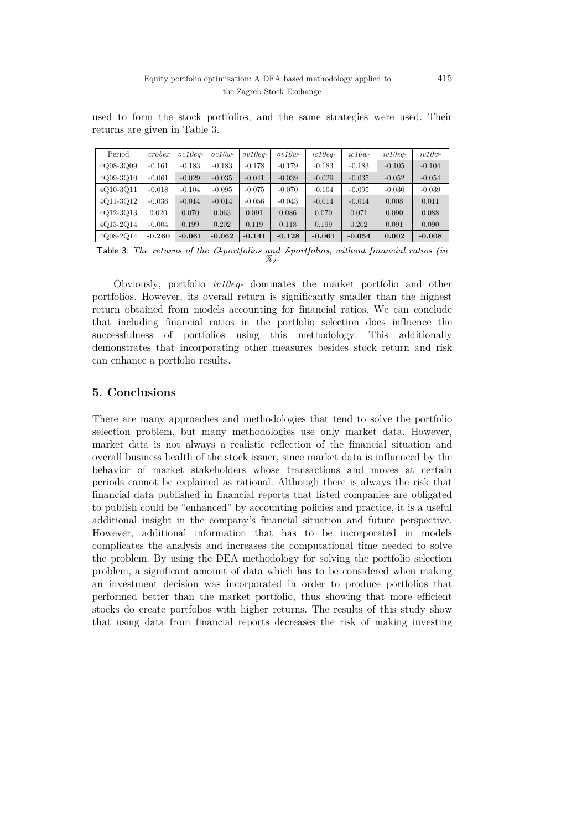used to form the stock portfolios, and the same strategies were used. Their returns are given in Table 3.

| Period    | crobex   | $oc10eq-$ | $oc10w-$ | $ov10eq-$ | $ov10w-$ | $ic10eq-$ | $ic10w-$ | $iv10eq-$ | $iv10w-$ |
|-----------|----------|-----------|----------|-----------|----------|-----------|----------|-----------|----------|
| 4Q08-3Q09 | $-0.161$ | $-0.183$  | $-0.183$ | $-0.178$  | $-0.179$ | $-0.183$  | $-0.183$ | $-0.105$  | $-0.104$ |
| 4Q09-3Q10 | $-0.061$ | $-0.029$  | $-0.035$ | $-0.041$  | $-0.039$ | $-0.029$  | $-0.035$ | $-0.052$  | $-0.054$ |
| 4Q10-3Q11 | $-0.018$ | $-0.104$  | $-0.095$ | $-0.075$  | $-0.070$ | $-0.104$  | $-0.095$ | $-0.030$  | $-0.039$ |
| 4Q11-3Q12 | $-0.036$ | $-0.014$  | $-0.014$ | $-0.056$  | $-0.043$ | $-0.014$  | $-0.014$ | 0.008     | 0.011    |
| 4Q12-3Q13 | 0.020    | 0.070     | 0.063    | 0.091     | 0.086    | 0.070     | 0.071    | 0.090     | 0.088    |
| 4Q13-2Q14 | $-0.004$ | 0.199     | 0.202    | 0.119     | 0.118    | 0.199     | 0.202    | 0.091     | 0.090    |
| 4Q08-2Q14 | $-0.260$ | $-0.061$  | $-0.062$ | $-0.141$  | $-0.128$ | $-0.061$  | $-0.054$ | 0.002     | $-0.008$ |

Table 3: The returns of the O-portfolios and I-portfolios, without financial ratios (in  $\frac{\%}{\%}$ ).

Obviously, portfolio *iv10eq-* dominates the market portfolio and other portfolios. However, its overall return is significantly smaller than the highest return obtained from models accounting for financial ratios. We can conclude that including financial ratios in the portfolio selection does influence the successfulness of portfolios using this methodology. This additionally demonstrates that incorporating other measures besides stock return and risk can enhance a portfolio results.

#### **5. Conclusions**

There are many approaches and methodologies that tend to solve the portfolio selection problem, but many methodologies use only market data. However, market data is not always a realistic reflection of the financial situation and overall business health of the stock issuer, since market data is influenced by the behavior of market stakeholders whose transactions and moves at certain periods cannot be explained as rational. Although there is always the risk that financial data published in financial reports that listed companies are obligated to publish could be "enhanced" by accounting policies and practice, it is a useful additional insight in the company's financial situation and future perspective. However, additional information that has to be incorporated in models complicates the analysis and increases the computational time needed to solve the problem. By using the DEA methodology for solving the portfolio selection problem, a significant amount of data which has to be considered when making an investment decision was incorporated in order to produce portfolios that performed better than the market portfolio, thus showing that more efficient stocks do create portfolios with higher returns. The results of this study show that using data from financial reports decreases the risk of making investing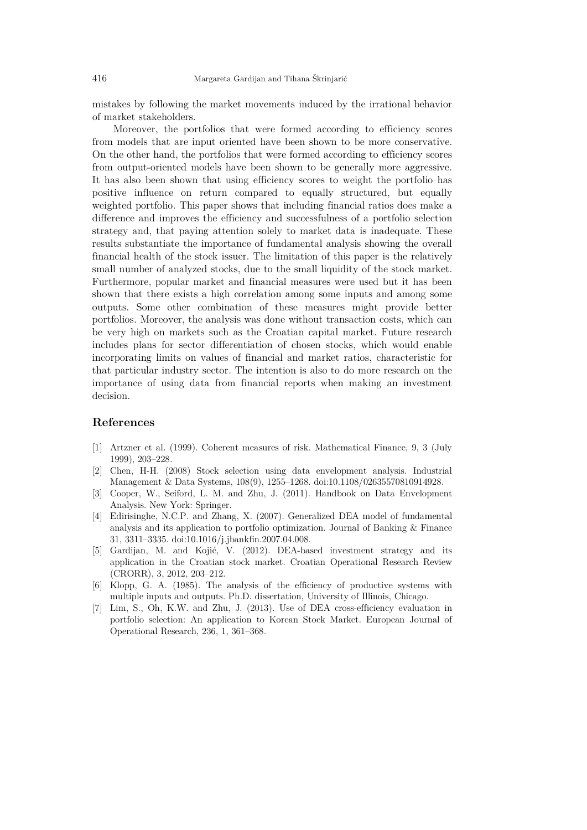mistakes by following the market movements induced by the irrational behavior of market stakeholders.

Moreover, the portfolios that were formed according to efficiency scores from models that are input oriented have been shown to be more conservative. On the other hand, the portfolios that were formed according to efficiency scores from output-oriented models have been shown to be generally more aggressive. It has also been shown that using efficiency scores to weight the portfolio has positive influence on return compared to equally structured, but equally weighted portfolio. This paper shows that including financial ratios does make a difference and improves the efficiency and successfulness of a portfolio selection strategy and, that paying attention solely to market data is inadequate. These results substantiate the importance of fundamental analysis showing the overall financial health of the stock issuer. The limitation of this paper is the relatively small number of analyzed stocks, due to the small liquidity of the stock market. Furthermore, popular market and financial measures were used but it has been shown that there exists a high correlation among some inputs and among some outputs. Some other combination of these measures might provide better portfolios. Moreover, the analysis was done without transaction costs, which can be very high on markets such as the Croatian capital market. Future research includes plans for sector differentiation of chosen stocks, which would enable incorporating limits on values of financial and market ratios, characteristic for that particular industry sector. The intention is also to do more research on the importance of using data from financial reports when making an investment decision.

#### **References**

- [1] Artzner et al. (1999). Coherent measures of risk. Mathematical Finance, 9, 3 (July 1999), 203–228.
- [2] Chen, H-H. (2008) Stock selection using data envelopment analysis. Industrial Management & Data Systems, 108(9), 1255–1268. doi:10.1108/02635570810914928.
- [3] Cooper, W., Seiford, L. M. and Zhu, J. (2011). Handbook on Data Envelopment Analysis. New York: Springer.
- [4] Edirisinghe, N.C.P. and Zhang, X. (2007). Generalized DEA model of fundamental analysis and its application to portfolio optimization. Journal of Banking & Finance 31, 3311–3335. doi:10.1016/j.jbankfin.2007.04.008.
- [5] Gardijan, M. and Kojić, V. (2012). DEA-based investment strategy and its application in the Croatian stock market. Croatian Operational Research Review (CRORR), 3, 2012, 203–212.
- [6] Klopp, G. A. (1985). The analysis of the efficiency of productive systems with multiple inputs and outputs. Ph.D. dissertation, University of Illinois, Chicago.
- [7] Lim, S., Oh, K.W. and Zhu, J. (2013). Use of DEA cross-efficiency evaluation in portfolio selection: An application to Korean Stock Market. European Journal of Operational Research, 236, 1, 361–368.